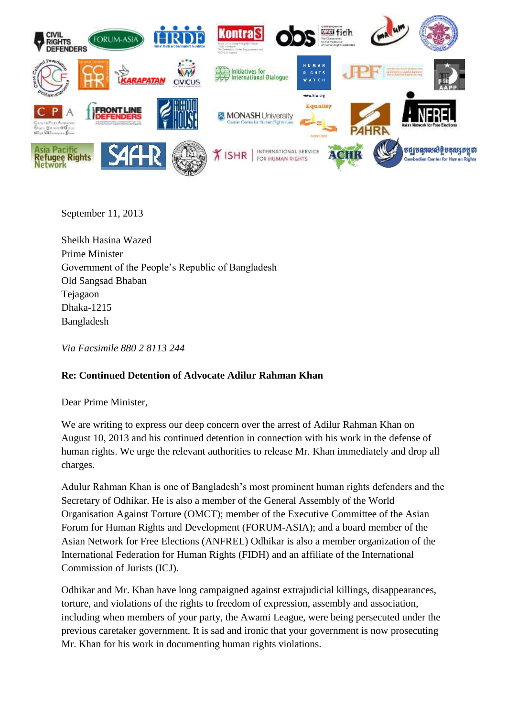

September 11, 2013

Sheikh Hasina Wazed Prime Minister Government of the People's Republic of Bangladesh Old Sangsad Bhaban Tejagaon Dhaka-1215 Bangladesh

*Via Facsimile 880 2 8113 244*

## **Re: Continued Detention of Advocate Adilur Rahman Khan**

Dear Prime Minister,

We are writing to express our deep concern over the arrest of Adilur Rahman Khan on August 10, 2013 and his continued detention in connection with his work in the defense of human rights. We urge the relevant authorities to release Mr. Khan immediately and drop all charges.

Adulur Rahman Khan is one of Bangladesh's most prominent human rights defenders and the Secretary of Odhikar. He is also a member of the General Assembly of the World Organisation Against Torture (OMCT); member of the Executive Committee of the Asian Forum for Human Rights and Development (FORUM-ASIA); and a board member of the Asian Network for Free Elections (ANFREL) Odhikar is also a member organization of the International Federation for Human Rights (FIDH) and an affiliate of the International Commission of Jurists (ICJ).

Odhikar and Mr. Khan have long campaigned against extrajudicial killings, disappearances, torture, and violations of the rights to freedom of expression, assembly and association, including when members of your party, the Awami League, were being persecuted under the previous caretaker government. It is sad and ironic that your government is now prosecuting Mr. Khan for his work in documenting human rights violations.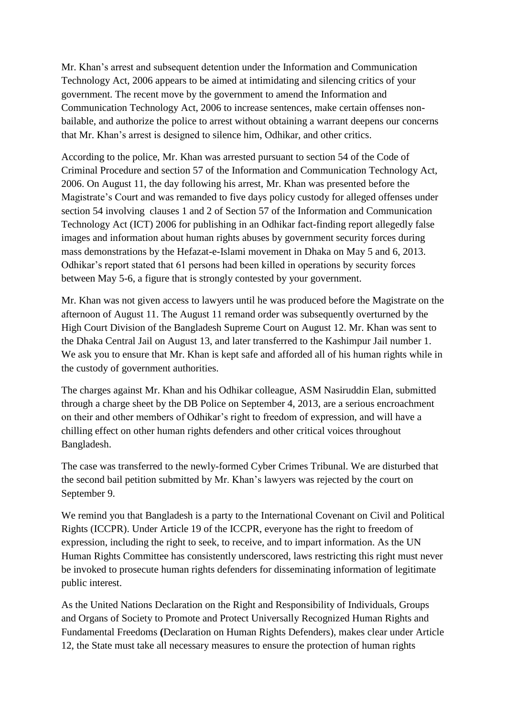Mr. Khan's arrest and subsequent detention under the Information and Communication Technology Act, 2006 appears to be aimed at intimidating and silencing critics of your government. The recent move by the government to amend the Information and Communication Technology Act, 2006 to increase sentences, make certain offenses nonbailable, and authorize the police to arrest without obtaining a warrant deepens our concerns that Mr. Khan's arrest is designed to silence him, Odhikar, and other critics.

According to the police, Mr. Khan was arrested pursuant to section 54 of the Code of Criminal Procedure and section 57 of the Information and Communication Technology Act, 2006. On August 11, the day following his arrest, Mr. Khan was presented before the Magistrate's Court and was remanded to five days policy custody for alleged offenses under section 54 involving clauses 1 and 2 of Section 57 of the Information and Communication Technology Act (ICT) 2006 for publishing in an Odhikar fact-finding report allegedly false images and information about human rights abuses by government security forces during mass demonstrations by the Hefazat-e-Islami movement in Dhaka on May 5 and 6, 2013. Odhikar's report stated that 61 persons had been killed in operations by security forces between May 5-6, a figure that is strongly contested by your government.

Mr. Khan was not given access to lawyers until he was produced before the Magistrate on the afternoon of August 11. The August 11 remand order was subsequently overturned by the High Court Division of the Bangladesh Supreme Court on August 12. Mr. Khan was sent to the Dhaka Central Jail on August 13, and later transferred to the Kashimpur Jail number 1. We ask you to ensure that Mr. Khan is kept safe and afforded all of his human rights while in the custody of government authorities.

The charges against Mr. Khan and his Odhikar colleague, ASM Nasiruddin Elan, submitted through a charge sheet by the DB Police on September 4, 2013, are a serious encroachment on their and other members of Odhikar's right to freedom of expression, and will have a chilling effect on other human rights defenders and other critical voices throughout Bangladesh.

The case was transferred to the newly-formed Cyber Crimes Tribunal. We are disturbed that the second bail petition submitted by Mr. Khan's lawyers was rejected by the court on September 9.

We remind you that Bangladesh is a party to the International Covenant on Civil and Political Rights (ICCPR). Under Article 19 of the ICCPR, everyone has the right to freedom of expression, including the right to seek, to receive, and to impart information. As the UN Human Rights Committee has consistently underscored, laws restricting this right must never be invoked to prosecute human rights defenders for disseminating information of legitimate public interest.

As the United Nations Declaration on the Right and Responsibility of Individuals, Groups and Organs of Society to Promote and Protect Universally Recognized Human Rights and Fundamental Freedoms **(**Declaration on Human Rights Defenders), makes clear under Article 12, the State must take all necessary measures to ensure the protection of human rights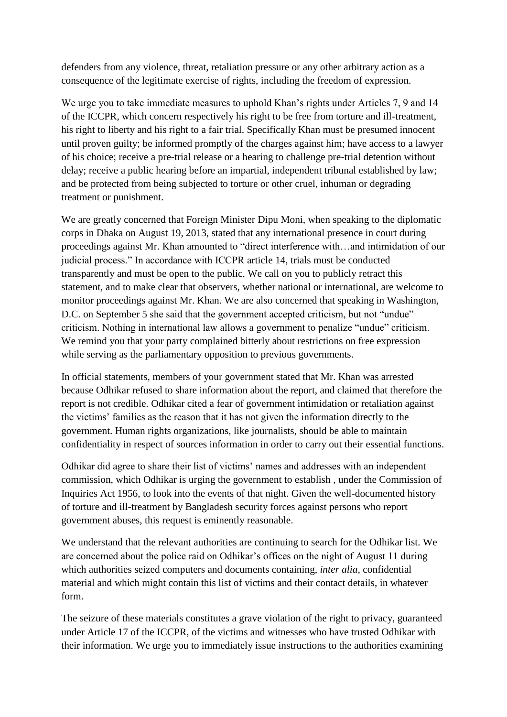defenders from any violence, threat, retaliation pressure or any other arbitrary action as a consequence of the legitimate exercise of rights, including the freedom of expression.

We urge you to take immediate measures to uphold Khan's rights under Articles 7, 9 and 14 of the ICCPR, which concern respectively his right to be free from torture and ill-treatment, his right to liberty and his right to a fair trial. Specifically Khan must be presumed innocent until proven guilty; be informed promptly of the charges against him; have access to a lawyer of his choice; receive a pre-trial release or a hearing to challenge pre-trial detention without delay; receive a public hearing before an impartial, independent tribunal established by law; and be protected from being subjected to torture or other cruel, inhuman or degrading treatment or punishment.

We are greatly concerned that Foreign Minister Dipu Moni, when speaking to the diplomatic corps in Dhaka on August 19, 2013, stated that any international presence in court during proceedings against Mr. Khan amounted to "direct interference with…and intimidation of our judicial process." In accordance with ICCPR article 14, trials must be conducted transparently and must be open to the public. We call on you to publicly retract this statement, and to make clear that observers, whether national or international, are welcome to monitor proceedings against Mr. Khan. We are also concerned that speaking in Washington, D.C. on September 5 she said that the government accepted criticism, but not "undue" criticism. Nothing in international law allows a government to penalize "undue" criticism. We remind you that your party complained bitterly about restrictions on free expression while serving as the parliamentary opposition to previous governments.

In official statements, members of your government stated that Mr. Khan was arrested because Odhikar refused to share information about the report, and claimed that therefore the report is not credible. Odhikar cited a fear of government intimidation or retaliation against the victims' families as the reason that it has not given the information directly to the government. Human rights organizations, like journalists, should be able to maintain confidentiality in respect of sources information in order to carry out their essential functions.

Odhikar did agree to share their list of victims' names and addresses with an independent commission, which Odhikar is urging the government to establish , under the Commission of Inquiries Act 1956, to look into the events of that night. Given the well-documented history of torture and ill-treatment by Bangladesh security forces against persons who report government abuses, this request is eminently reasonable.

We understand that the relevant authorities are continuing to search for the Odhikar list. We are concerned about the police raid on Odhikar's offices on the night of August 11 during which authorities seized computers and documents containing, *inter alia*, confidential material and which might contain this list of victims and their contact details, in whatever form.

The seizure of these materials constitutes a grave violation of the right to privacy, guaranteed under Article 17 of the ICCPR, of the victims and witnesses who have trusted Odhikar with their information. We urge you to immediately issue instructions to the authorities examining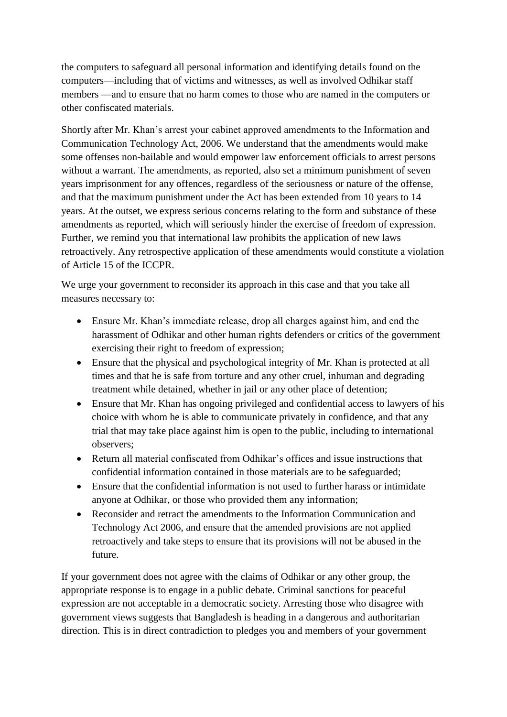the computers to safeguard all personal information and identifying details found on the computers—including that of victims and witnesses, as well as involved Odhikar staff members —and to ensure that no harm comes to those who are named in the computers or other confiscated materials.

Shortly after Mr. Khan's arrest your cabinet approved amendments to the Information and Communication Technology Act, 2006. We understand that the amendments would make some offenses non-bailable and would empower law enforcement officials to arrest persons without a warrant. The amendments, as reported, also set a minimum punishment of seven years imprisonment for any offences, regardless of the seriousness or nature of the offense, and that the maximum punishment under the Act has been extended from 10 years to 14 years. At the outset, we express serious concerns relating to the form and substance of these amendments as reported, which will seriously hinder the exercise of freedom of expression. Further, we remind you that international law prohibits the application of new laws retroactively. Any retrospective application of these amendments would constitute a violation of Article 15 of the ICCPR.

We urge your government to reconsider its approach in this case and that you take all measures necessary to:

- Ensure Mr. Khan's immediate release, drop all charges against him, and end the harassment of Odhikar and other human rights defenders or critics of the government exercising their right to freedom of expression;
- Ensure that the physical and psychological integrity of Mr. Khan is protected at all times and that he is safe from torture and any other cruel, inhuman and degrading treatment while detained, whether in jail or any other place of detention;
- Ensure that Mr. Khan has ongoing privileged and confidential access to lawyers of his choice with whom he is able to communicate privately in confidence, and that any trial that may take place against him is open to the public, including to international observers;
- Return all material confiscated from Odhikar's offices and issue instructions that confidential information contained in those materials are to be safeguarded;
- Ensure that the confidential information is not used to further harass or intimidate anyone at Odhikar, or those who provided them any information;
- Reconsider and retract the amendments to the Information Communication and Technology Act 2006, and ensure that the amended provisions are not applied retroactively and take steps to ensure that its provisions will not be abused in the future.

If your government does not agree with the claims of Odhikar or any other group, the appropriate response is to engage in a public debate. Criminal sanctions for peaceful expression are not acceptable in a democratic society. Arresting those who disagree with government views suggests that Bangladesh is heading in a dangerous and authoritarian direction. This is in direct contradiction to pledges you and members of your government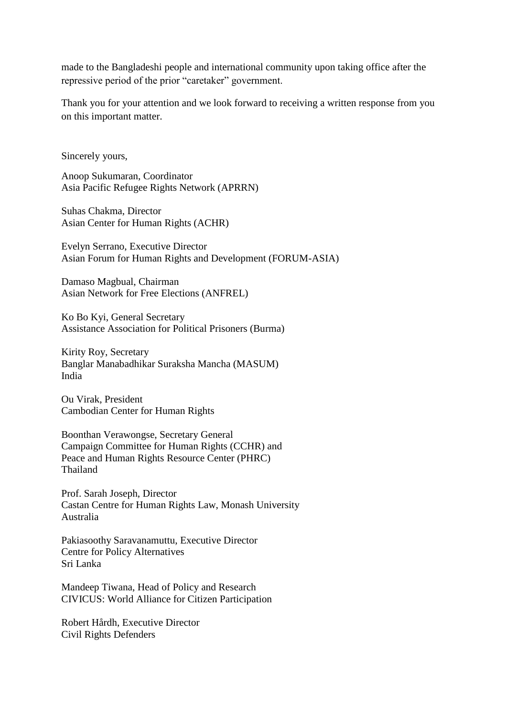made to the Bangladeshi people and international community upon taking office after the repressive period of the prior "caretaker" government.

Thank you for your attention and we look forward to receiving a written response from you on this important matter.

Sincerely yours,

Anoop Sukumaran, Coordinator Asia Pacific Refugee Rights Network (APRRN)

Suhas Chakma, Director Asian Center for Human Rights (ACHR)

Evelyn Serrano, Executive Director Asian Forum for Human Rights and Development (FORUM-ASIA)

Damaso Magbual, Chairman Asian Network for Free Elections (ANFREL)

Ko Bo Kyi, General Secretary Assistance Association for Political Prisoners (Burma)

Kirity Roy, Secretary Banglar Manabadhikar Suraksha Mancha (MASUM) India

Ou Virak, President Cambodian Center for Human Rights

Boonthan Verawongse, Secretary General Campaign Committee for Human Rights (CCHR) and Peace and Human Rights Resource Center (PHRC) Thailand

Prof. Sarah Joseph, Director Castan Centre for Human Rights Law, Monash University Australia

Pakiasoothy Saravanamuttu, Executive Director Centre for Policy Alternatives Sri Lanka

Mandeep Tiwana, Head of Policy and Research CIVICUS: World Alliance for Citizen Participation

Robert Hårdh, Executive Director Civil Rights Defenders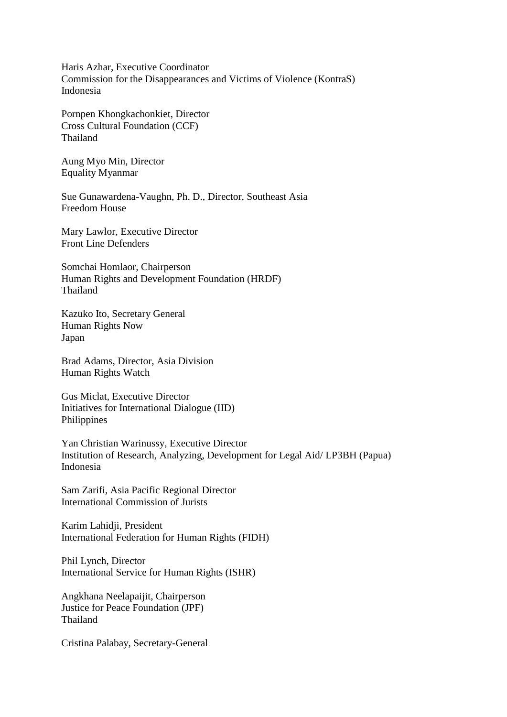Haris Azhar, Executive Coordinator Commission for the Disappearances and Victims of Violence (KontraS) Indonesia

Pornpen Khongkachonkiet, Director Cross Cultural Foundation (CCF) Thailand

Aung Myo Min, Director Equality Myanmar

Sue Gunawardena-Vaughn, Ph. D., Director, Southeast Asia Freedom House

Mary Lawlor, Executive Director Front Line Defenders

Somchai Homlaor, Chairperson Human Rights and Development Foundation (HRDF) Thailand

Kazuko Ito, Secretary General Human Rights Now Japan

Brad Adams, Director, Asia Division Human Rights Watch

Gus Miclat, Executive Director Initiatives for International Dialogue (IID) Philippines

Yan Christian Warinussy, Executive Director Institution of Research, Analyzing, Development for Legal Aid/ LP3BH (Papua) Indonesia

Sam Zarifi, Asia Pacific Regional Director International Commission of Jurists

Karim Lahidji, President International Federation for Human Rights (FIDH)

Phil Lynch, Director International Service for Human Rights (ISHR)

Angkhana Neelapaijit, Chairperson Justice for Peace Foundation (JPF) Thailand

Cristina Palabay, Secretary-General